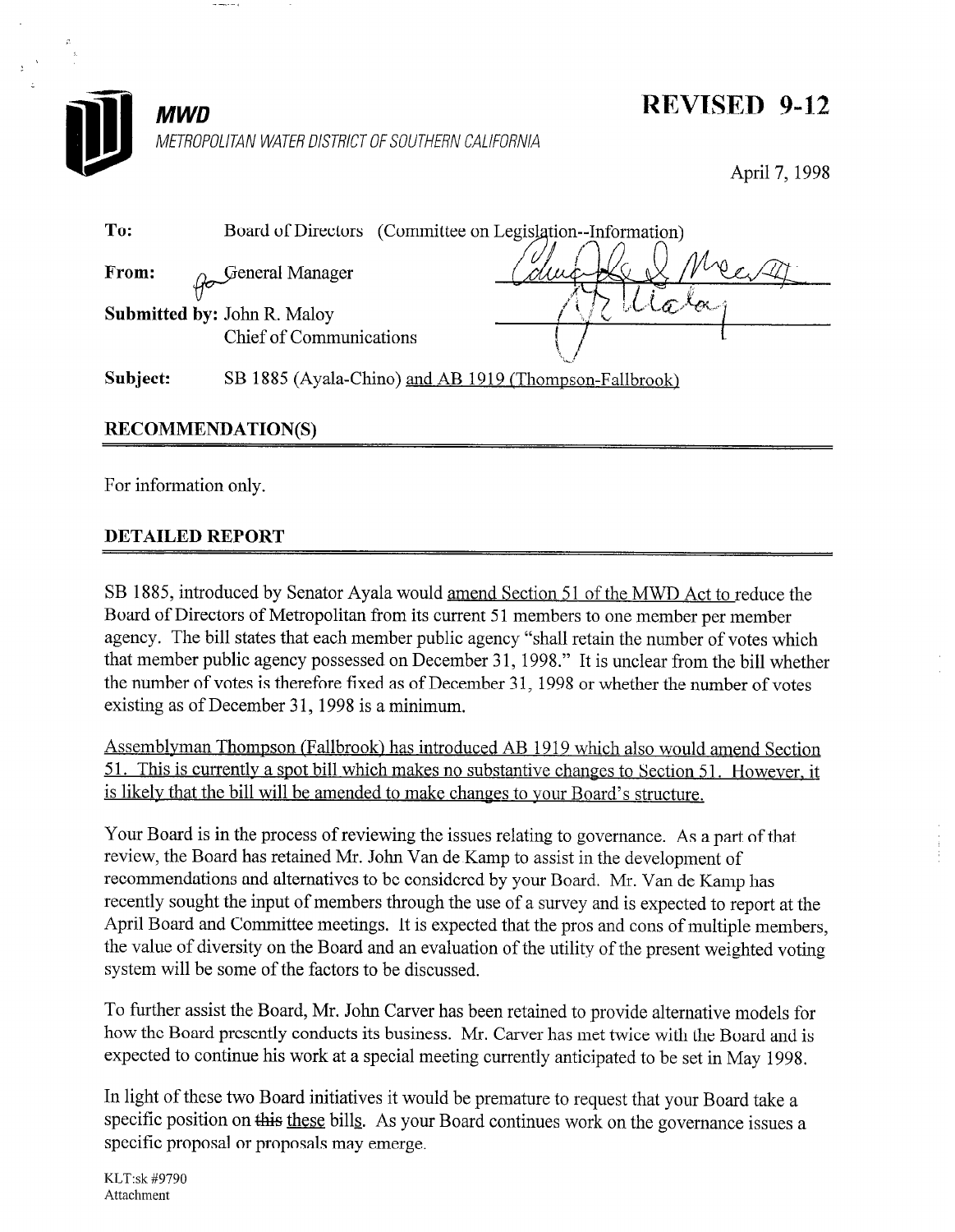

# REVISED 9-12

April 7, 1998

| To:                                | Board of Directors (Committee on Legislation--Information) |  |
|------------------------------------|------------------------------------------------------------|--|
| From:                              | General Manager                                            |  |
| <b>Submitted by: John R. Maloy</b> |                                                            |  |
|                                    | Chief of Communications                                    |  |
| Subject:                           | SB 1885 (Ayala-Chino) and AB 1919 (Thompson-Fallbrook)     |  |

## RECOMMENDATION(S)

For information only.

### DETAILED REPORT

SB 1885, introduced by Senator Ayala would amend Section 51 of the MWD Act to reduce the Board of Directors of Metropolitan from its current 51 members to one member per member agency. The bill states that each member public agency "shall retain the number of votes which that member public agency possessed on December 31, 1998." It is unclear from the bill whether the number of votes is therefore fixed as of December 31, 1998 or whether the number of votes existing as of December 31, 1998 is a minimum.

Assemblyman Thompson (Fallbrook) has introduced AB 1919 which also would amend Section 51. This is currently a spot bill which makes no substantive changes to Section 51. However, it is likelv that the bill will be amended to make changes to vour Board's structure.

Your Board is in the process of reviewing the issues relating to governance. As a part of that review, the Board has retained Mr. John Van de Kamp to assist in the development of recommendations and alternatives to be considered by your Board. Mr. Van de Kamp has recently sought the input of members through the use of a survey and is expected to report at the April Board and Committee meetings. It is expected that the pros and cons of multiple members, the value of diversity on the Board and an evaluation of the utility of the present weighted voting system will be some of the factors to be discussed.

To further assist the Board, Mr. John Carver has been retained to provide alternative models for how the Board presently conducts its business. Mr. Carver has met twice with the Board and is expected to continue his work at a special meeting currently anticipated to be set in May 1998.

In light of these two Board initiatives it would be premature to request that your Board take a specific position on this these bills. As your Board continues work on the governance issues a specific proposal or proposals may emerge.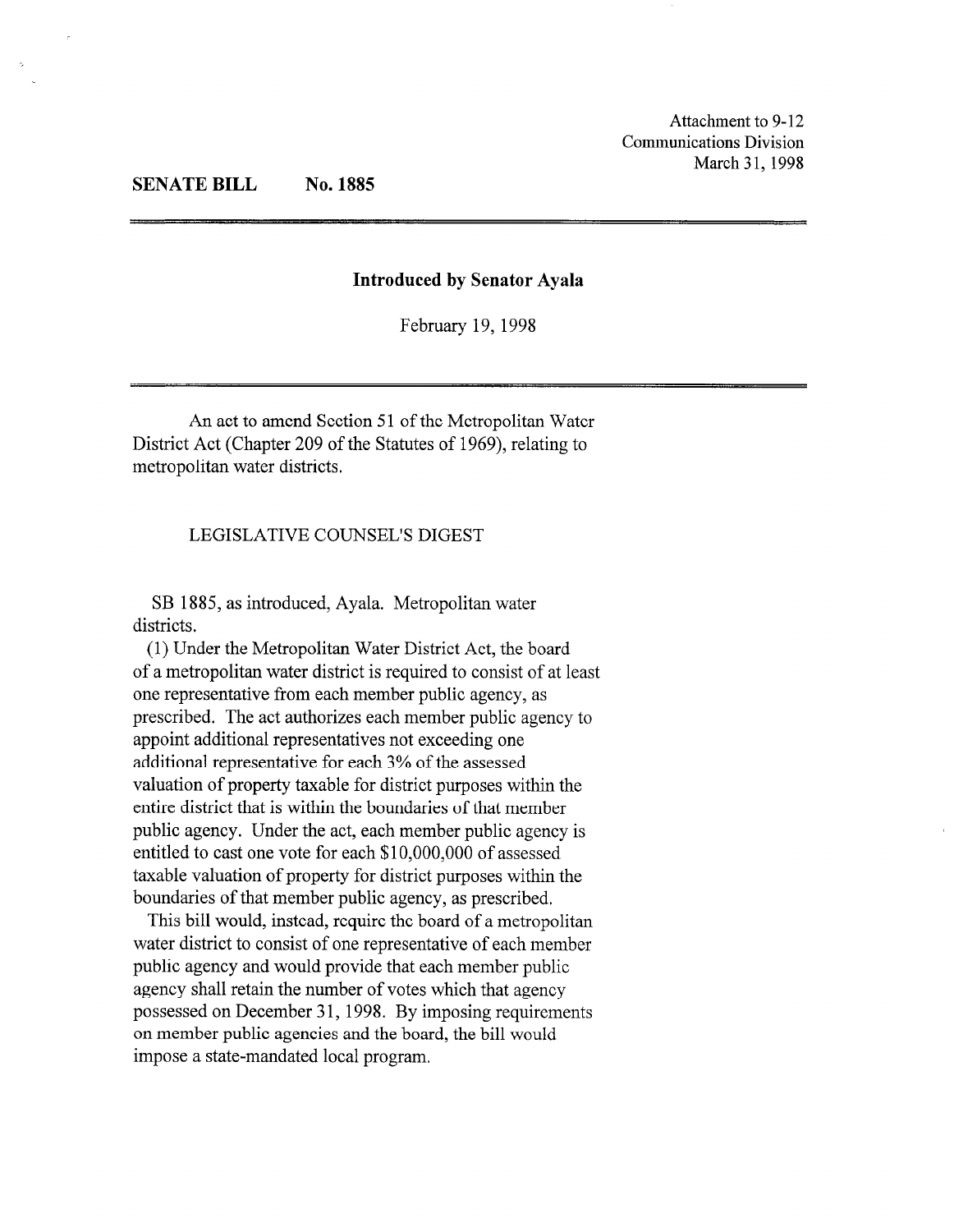Attachment to 9-12 Communications Division March 31, 1998

#### SENATE BILL No. 1885

#### Introduced by Senator Ayala

February 19, 1998

An act to amend Section 51 of the Metropolitan Water District Act (Chapter 209 of the Statutes of 1969), relating to metropolitan water districts.

### LEGISLATIVE COUNSEL'S DIGEST

SB 1885, as introduced, Ayala. Metropolitan water districts.

(1) Under the Metropolitan Water District Act, the board of a metropolitan water district is required to consist of at least one representative from each member public agency, as prescribed. The act authorizes each member public agency to appoint additional representatives not exceeding one additional representative for each 3% of the assessed valuation of property taxable for district purposes within the entire district that is within the boundaries of that member public agency. Under the act, each member public agency is entitled to cast one vote for each \$10,000,000 of assessed taxable valuation of property for district purposes within the boundaries of that member public agency, as prescribed.

This bill would, instead, require the board of a metropolitan water district to consist of one representative of each member public agency and would provide that each member public agency shall retain the number of votes which that agency possessed on December 31, 1998. By imposing requirements on member public agencies and the board, the bill would impose a state-mandated local program.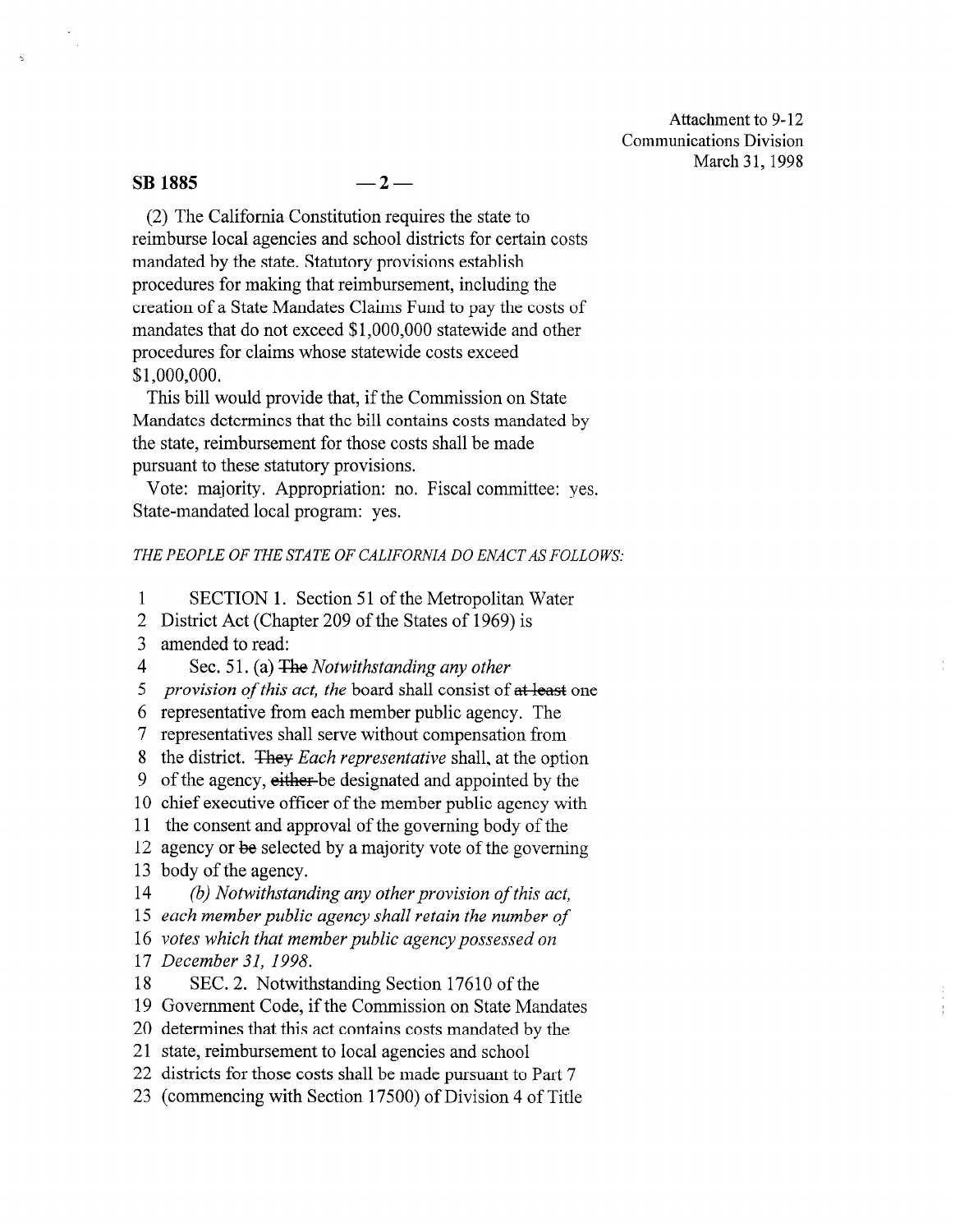Attachment to 9- 12 Communications Division March 31, 1998

#### $\text{SB } 1885 \quad -2 -$

(2) The California Constitution requires the state to reimburse local agencies and school districts for certain costs mandated by the state. Statutory provisions establish procedures for making that reimbursement, including the creation of a State Mandates Claims Fund to pay the costs of mandates that do not exceed \$1 ,OOO,OOO statewide and other procedures for claims whose statewide costs exceed \$1 ,ooo,ooo.

This bill would provide that, if the Commission on State Mandates determines that the bill contains costs mandated by the state, reimbursement for those costs shall be made pursuant to these statutory provisions.

Vote: majority. Appropriation: no. Fiscal committee: yes. State-mandated local program: yes.

#### THE PEOPLE OF THE STATE OF CALIFORNIA DO ENACT AS FOLLOWS:

1 SECTION 1. Section 51 of the Metropolitan Water

2 District Act (Chapter 209 of the States of 1969) is

3 amended to read:

4 Sec. 51. (a) The Notwithstanding any other

5 provision of this act, the board shall consist of at least one

6 representative from each member public agency. The

7 representatives shall serve without compensation from

8 the district. They Each representative shall, at the option

9 of the agency, either-be designated and appointed by the

10 chief executive officer of the member public agency with

11 the consent and approval of the governing body of the

12 agency or be selected by a majority vote of the governing 13 body of the agency.

14 (b) Notwithstanding any other provision of this act,

15 each member public agency shall retain the number of

16 votes which that member public agency possessed on

17 December 31, 1998.

18 SEC. 2. Notwithstanding Section 17610 of the

19 Government Code, if the Commission on State Mandates

20 determines that this act contains costs mandated by the

21 state, reimbursement to local agencies and school

22 districts for those costs shall be made pursuant to Part 7

23 (commencing with Section 17500) of Division 4 of Title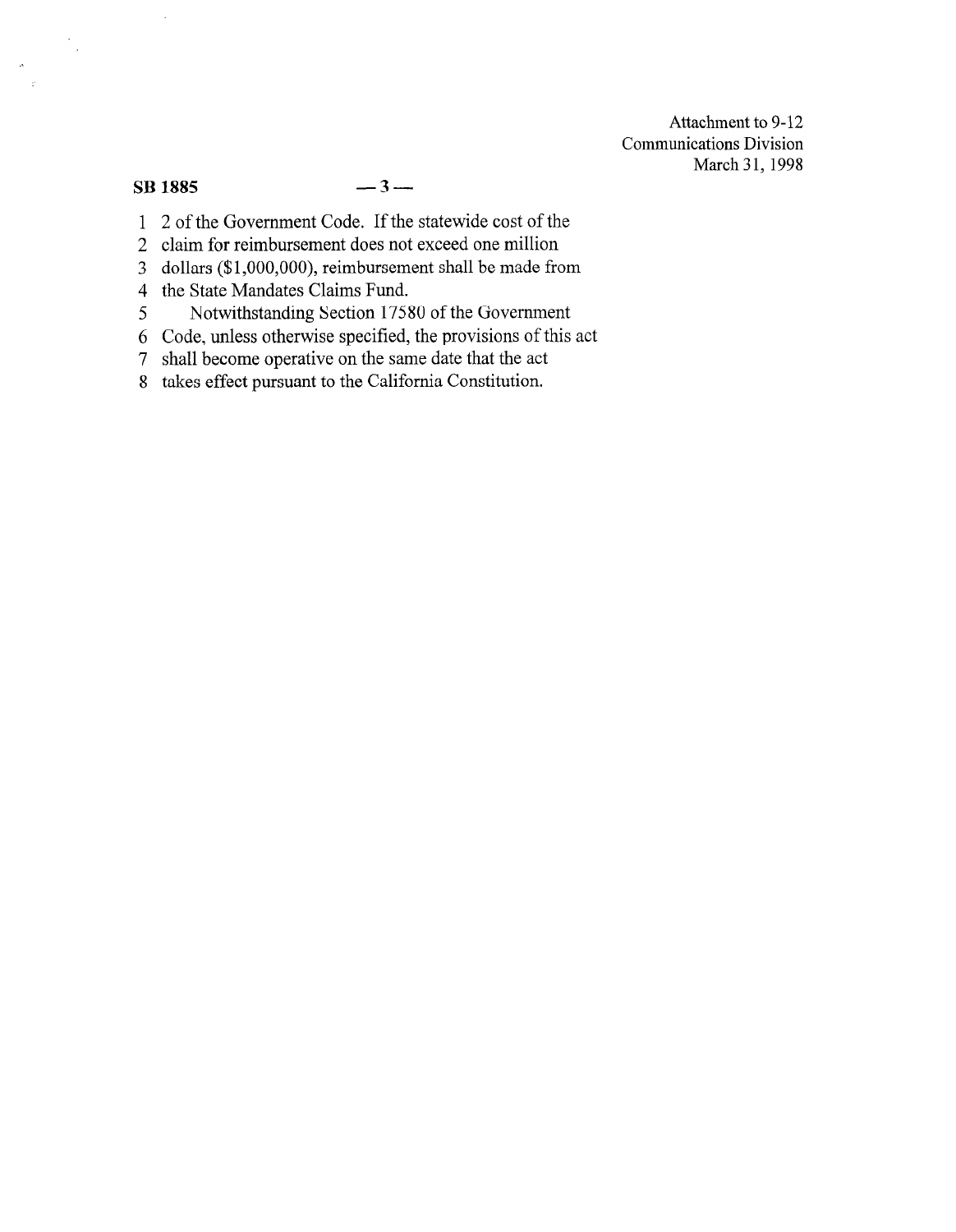Attachment to 9-12 Communications Division March 31, 1998

### $SB$  1885  $-3-$

 $\ddot{\phantom{a}}$ 

 $\frac{1}{\sqrt{2}}$ 

- 1 2 of the Government Code. If the statewide cost of the
- 2 claim for reimbursement does not exceed one million
- 3 dollars (\$l,OOO,OOO), reimbursement shall be made from
- 4 the State Mandates Claims Fund.
- 5 Notwithstanding Section 175 80 of the Government
- 6 Code, unless otherwise specified, the provisions of this act
- 7 shall become operative on the same date that the act
- 8 takes effect pursuant to the California Constitution.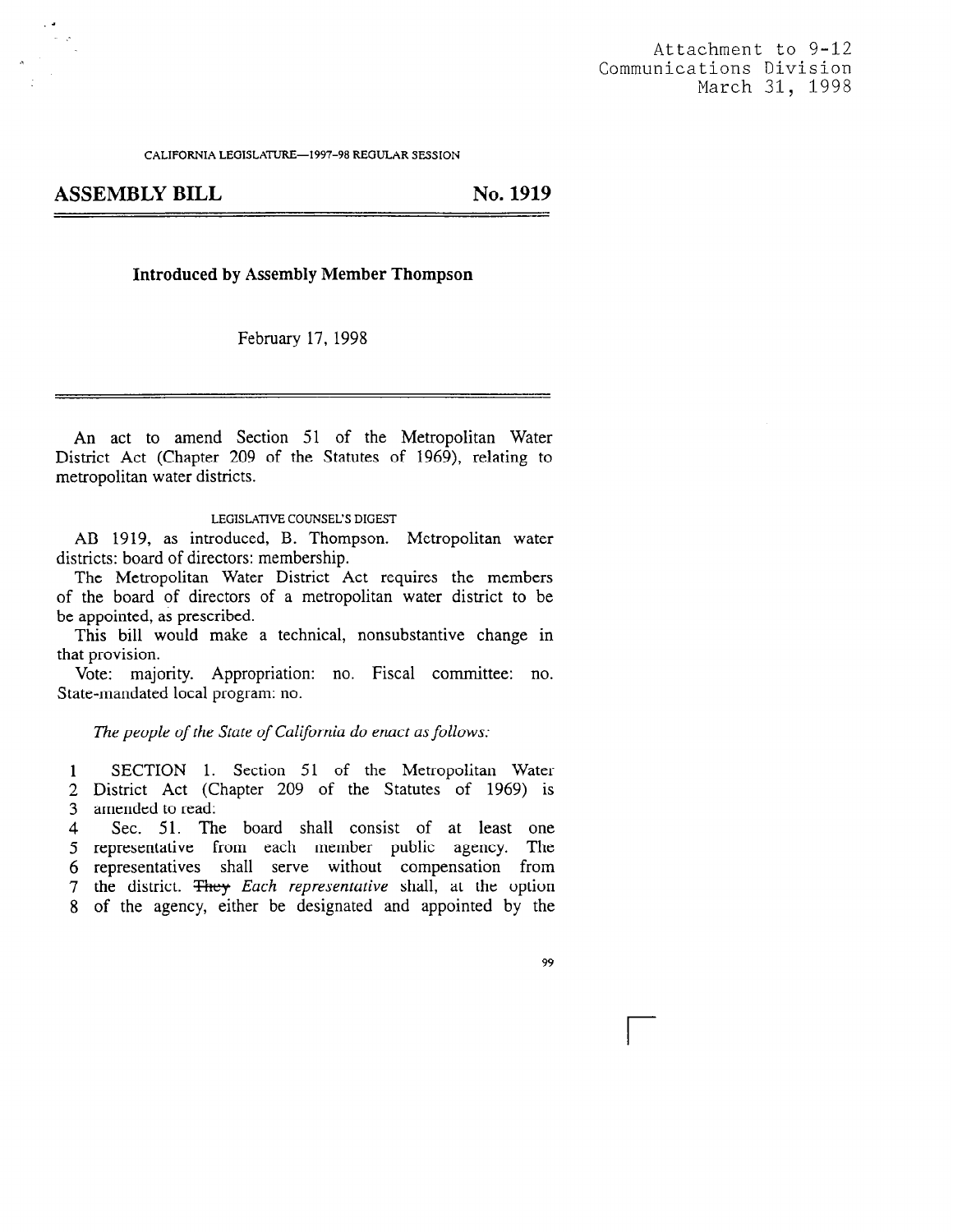CALIFORNIA LEGISLATURE--1997-98 REGULAR SESSION

ASSEMBLY BILL No. 1919

#### Introduced by Assembly Member Thompson

February 17, 1998

An act to amend Section 51 of the Metropolitan Water District Act (Chapter 209 of the Statutes of 1969), relating to metropolitan water districts.

#### LEGISLATIVE COUNSEL'S DIGEST

AB 1919, as introduced, B. Thompson. Metropolitan water districts: board of directors: membership.

The Metropolitan Water District Act requires the members of the board of directors of a metropolitan water district to be be appointed, as prescribed.

This bill would make a technical, nonsubstantive change in that provision.

Vote: majority. Appropriation: no. Fiscal committee: no. State-mandated local program: no.

The people of the State of California do enact as follows:

 $\mathbf{1}$ SECTION 1. Section 51 of the Metropolitan Water District Act (Chapter 209 of the Statutes of 1969) is

amended to read: 3

 $\overline{4}$ Sec. 51. The board shall consist of at least one 5 representative from each member public agency. The representatives shall serve without compensation from 7 the district.  $\frac{F}{\text{Hey}}$  Each representative shall, at the option of the agency, either be designated and appointed by the

99

r